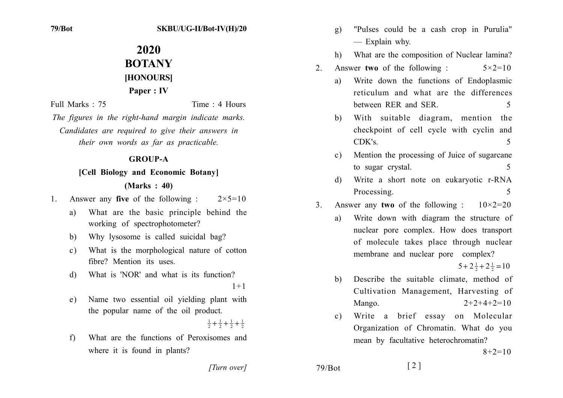# 2020 **BOTANY HONOURSI** Paper : IV

Full Marks  $\cdot$  75

Time · 4 Hours

The figures in the right-hand margin indicate marks. Candidates are required to give their answers in their own words as far as practicable.

## **GROUP-A**

## [Cell Biology and Economic Botany]

## $Marks: 40$

- Answer any **five** of the following :  $2 \times 5 = 10$  $1_{-}$ 
	- What are the basic principle behind the a) working of spectrophotometer?
	- Why lysosome is called suicidal bag? b)
	- What is the morphological nature of cotton  $c)$ fibre? Mention its uses
	- What is 'NOR' and what is its function?  $\mathbf{d}$  $1 + 1$
	- Name two essential oil yielding plant with e) the popular name of the oil product.

 $\frac{1}{2} + \frac{1}{2} + \frac{1}{2} + \frac{1}{2}$ 

What are the functions of Peroxisomes and  $f$ where it is found in plants?

- "Pulses could be a cash crop in Purulia"  $g)$ - Explain why.
- What are the composition of Nuclear lamina? h)
- Answer two of the following:  $5 \times 2 = 10$  $2^{\circ}$ 
	- Write down the functions of Endoplasmic a) reticulum and what are the differences between RER and SER 5
	- With suitable diagram, mention the  $h$ ) checkpoint of cell cycle with cyclin and  $CDK's$  $\overline{\mathcal{L}}$
	- Mention the processing of Juice of sugarcane  $c)$ to sugar crystal.  $\overline{\mathcal{L}}$
	- Write a short note on eukaryotic r-RNA d) Processing. 5
- Answer any two of the following:  $10 \times 2 = 20$  $3<sub>1</sub>$ 
	- Write down with diagram the structure of  $a)$ nuclear pore complex. How does transport of molecule takes place through nuclear membrane and nuclear pore complex?

 $5+2\frac{1}{2}+2\frac{1}{2}=10$ 

- Describe the suitable climate, method of b) Cultivation Management, Harvesting of  $2+2+4+2=10$ Mango.
- Write a brief essay on Molecular  $\mathbf{c}$ ) Organization of Chromatin. What do you mean by facultative heterochromatin?

 $8+2=10$ 

[Turn over]

 $79/B$ ot

 $\lceil 2 \rceil$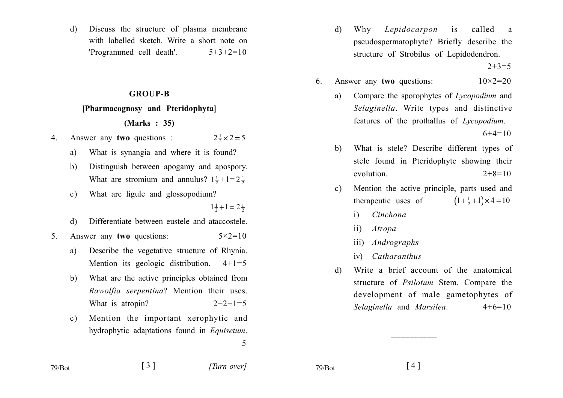Discuss the structure of plasma membrane  $\mathbf{d}$ with labelled sketch. Write a short note on 'Programmed cell death'.  $5+3+2=10$ 

#### **GROUP-B**

#### [Pharmacognosy and Pteridophyta]

### (Marks: 35)

- Answer any two questions :  $2\frac{1}{2}\times 2 = 5$  $4_{\cdot}$ 
	- What is synangia and where it is found? a)
	- Distinguish between apogamy and apospory.  $h)$ What are stromium and annulus?  $1\frac{1}{2} + 1 = 2\frac{1}{2}$
	- What are ligule and glossopodium?  $c)$

 $1\frac{1}{2}+1=2\frac{1}{2}$ 

- Differentiate between eustele and ataccostele. d)
- Answer any two questions:  $5 \times 2 = 10$  $5_{-}$ 
	- Describe the vegetative structure of Rhynia. a) Mention its geologic distribution.  $4+1=5$
	- What are the active principles obtained from  $\mathbf{b}$ Rawolfia serpentina? Mention their uses. What is atropin?  $2+2+1=5$
	- Mention the important xerophytic and  $c)$ hydrophytic adaptations found in *Equisetum*. 5

Why Lepidocarpon called  $is$  $\mathbf{d}$ <sup>a</sup> pseudospermatophyte? Briefly describe the structure of Strobilus of Lepidodendron.

 $2+3=5$ 

- Answer any two questions:  $10 \times 2 = 20$ 6.
	- Compare the sporophytes of Lycopodium and a) Selaginella. Write types and distinctive features of the prothallus of Lycopodium.

 $6+4=10$ 

- What is stele? Describe different types of  $b)$ stele found in Pteridophyte showing their evolution.  $2+8=10$
- Mention the active principle, parts used and  $\mathbf{c}$ ) therapeutic uses of  $(1+\frac{1}{2}+1)\times 4=10$ 
	- Cinchona  $\mathbf{i}$
	- $\overline{11}$ Atropa
	- iii) Andrographs
	- Catharanthus  $iv)$
- Write a brief account of the anatomical  $\mathcal{A}$ structure of *Psilotum* Stem. Compare the development of male gametophytes of Selaginella and Marsilea.  $4+6=10$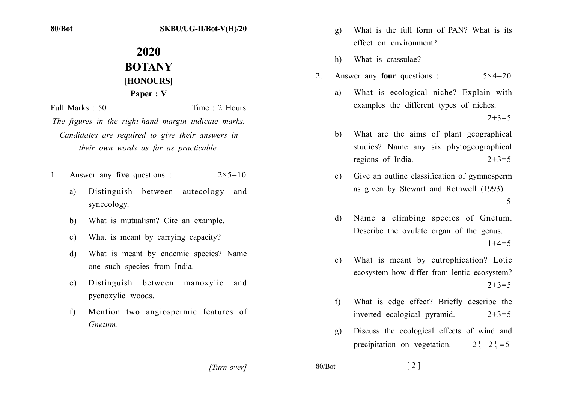#### SKBU/UG-II/Bot-V(H)/20

# 2020 **BOTANY HONOURSI** Paper: V

Time: 2 Hours Full Marks: 50

The figures in the right-hand margin indicate marks. Candidates are required to give their answers in their own words as far as practicable.

- Answer any **five** questions :  $2 \times 5 = 10$  $1$ 
	- Distinguish between autecology and a) synecology.
	- What is mutualism? Cite an example.  $h$
	- What is meant by carrying capacity?  $c)$
	- What is meant by endemic species? Name d) one such species from India.
	- Distinguish between manoxylic and  $e)$ pycnoxylic woods.
	- Mention two angiospermic features of f) Gnetum
- What is the full form of PAN? What is its  $g)$ effect on environment?
- $h)$ What is crassulae?
- Answer any **four** questions :  $5 \times 4 = 20$  $2^{\circ}$ 
	- What is ecological niche? Explain with  $\mathbf{a}$ examples the different types of niches.  $2+3=5$
	- What are the aims of plant geographical  $h)$ studies? Name any six phytogeographical regions of India.  $2+3=5$
	- Give an outline classification of gymnosperm  $c)$ as given by Stewart and Rothwell (1993). 5
	- Name a climbing species of Gnetum. d) Describe the ovulate organ of the genus.  $1+4=5$
	- What is meant by eutrophication? Lotic e) ecosystem how differ from lentic ecosystem?  $2+3=5$
	- What is edge effect? Briefly describe the  $f$ inverted ecological pyramid.  $2+3=5$
	- Discuss the ecological effects of wind and  $\alpha$ ) precipitation on vegetation.  $2\frac{1}{2}+2\frac{1}{2}=5$

[Turn over]

 $80/Bot$